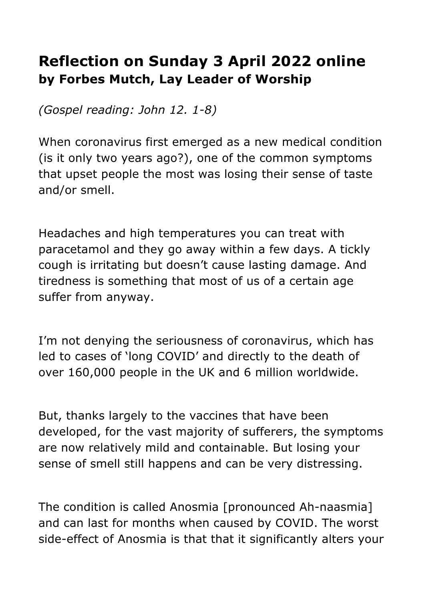## **Reflection on Sunday 3 April 2022 online by Forbes Mutch, Lay Leader of Worship**

*(Gospel reading: John 12. 1-8)*

When coronavirus first emerged as a new medical condition (is it only two years ago?), one of the common symptoms that upset people the most was losing their sense of taste and/or smell.

Headaches and high temperatures you can treat with paracetamol and they go away within a few days. A tickly cough is irritating but doesn't cause lasting damage. And tiredness is something that most of us of a certain age suffer from anyway.

I'm not denying the seriousness of coronavirus, which has led to cases of 'long COVID' and directly to the death of over 160,000 people in the UK and 6 million worldwide.

But, thanks largely to the vaccines that have been developed, for the vast majority of sufferers, the symptoms are now relatively mild and containable. But losing your sense of smell still happens and can be very distressing.

The condition is called Anosmia [pronounced Ah-naasmia] and can last for months when caused by COVID. The worst side-effect of Anosmia is that that it significantly alters your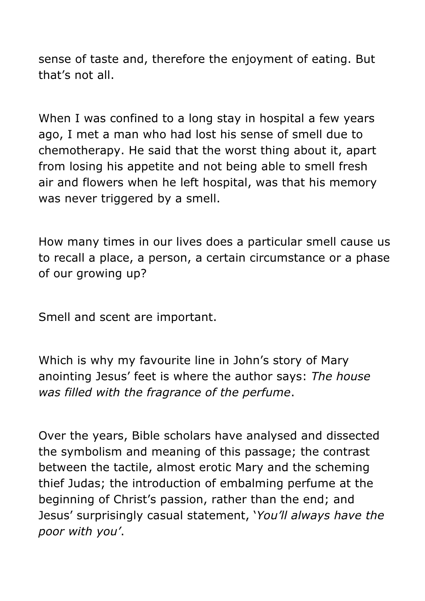sense of taste and, therefore the enjoyment of eating. But that's not all.

When I was confined to a long stay in hospital a few years ago, I met a man who had lost his sense of smell due to chemotherapy. He said that the worst thing about it, apart from losing his appetite and not being able to smell fresh air and flowers when he left hospital, was that his memory was never triggered by a smell.

How many times in our lives does a particular smell cause us to recall a place, a person, a certain circumstance or a phase of our growing up?

Smell and scent are important.

Which is why my favourite line in John's story of Mary anointing Jesus' feet is where the author says: *The house was filled with the fragrance of the perfume*.

Over the years, Bible scholars have analysed and dissected the symbolism and meaning of this passage; the contrast between the tactile, almost erotic Mary and the scheming thief Judas; the introduction of embalming perfume at the beginning of Christ's passion, rather than the end; and Jesus' surprisingly casual statement, '*You'll always have the poor with you'*.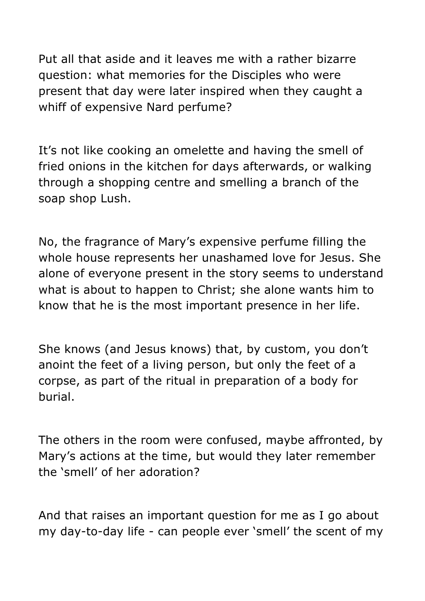Put all that aside and it leaves me with a rather bizarre question: what memories for the Disciples who were present that day were later inspired when they caught a whiff of expensive Nard perfume?

It's not like cooking an omelette and having the smell of fried onions in the kitchen for days afterwards, or walking through a shopping centre and smelling a branch of the soap shop Lush.

No, the fragrance of Mary's expensive perfume filling the whole house represents her unashamed love for Jesus. She alone of everyone present in the story seems to understand what is about to happen to Christ; she alone wants him to know that he is the most important presence in her life.

She knows (and Jesus knows) that, by custom, you don't anoint the feet of a living person, but only the feet of a corpse, as part of the ritual in preparation of a body for burial.

The others in the room were confused, maybe affronted, by Mary's actions at the time, but would they later remember the 'smell' of her adoration?

And that raises an important question for me as I go about my day-to-day life - can people ever 'smell' the scent of my